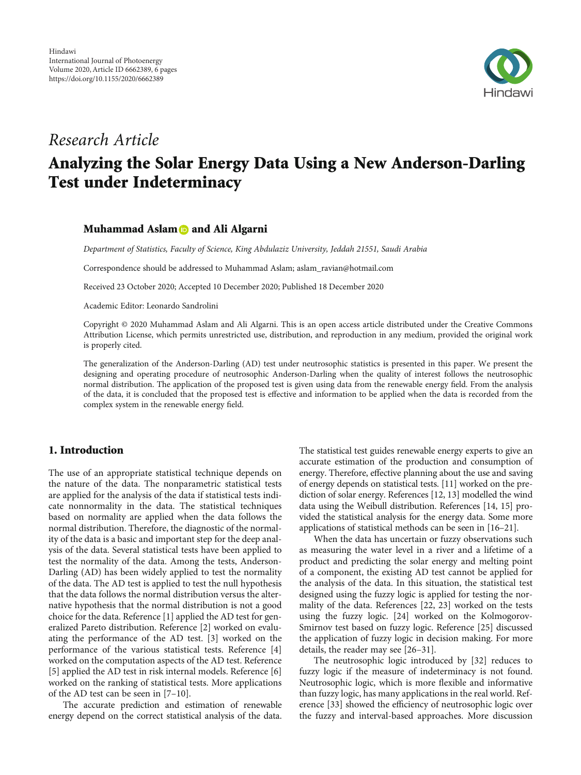

# Research Article

# Analyzing the Solar Energy Data Using a New Anderson-Darling Test under Indeterminacy

## Muhammad Aslam **and Ali Algarni**

Department of Statistics, Faculty of Science, King Abdulaziz University, Jeddah 21551, Saudi Arabia

Correspondence should be addressed to Muhammad Aslam; aslam\_ravian@hotmail.com

Received 23 October 2020; Accepted 10 December 2020; Published 18 December 2020

Academic Editor: Leonardo Sandrolini

Copyright © 2020 Muhammad Aslam and Ali Algarni. This is an open access article distributed under the [Creative Commons](https://creativecommons.org/licenses/by/4.0/) [Attribution License](https://creativecommons.org/licenses/by/4.0/), which permits unrestricted use, distribution, and reproduction in any medium, provided the original work is properly cited.

The generalization of the Anderson-Darling (AD) test under neutrosophic statistics is presented in this paper. We present the designing and operating procedure of neutrosophic Anderson-Darling when the quality of interest follows the neutrosophic normal distribution. The application of the proposed test is given using data from the renewable energy field. From the analysis of the data, it is concluded that the proposed test is effective and information to be applied when the data is recorded from the complex system in the renewable energy field.

# 1. Introduction

The use of an appropriate statistical technique depends on the nature of the data. The nonparametric statistical tests are applied for the analysis of the data if statistical tests indicate nonnormality in the data. The statistical techniques based on normality are applied when the data follows the normal distribution. Therefore, the diagnostic of the normality of the data is a basic and important step for the deep analysis of the data. Several statistical tests have been applied to test the normality of the data. Among the tests, Anderson-Darling (AD) has been widely applied to test the normality of the data. The AD test is applied to test the null hypothesis that the data follows the normal distribution versus the alternative hypothesis that the normal distribution is not a good choice for the data. Reference [\[1](#page-3-0)] applied the AD test for generalized Pareto distribution. Reference [[2\]](#page-3-0) worked on evaluating the performance of the AD test. [\[3](#page-4-0)] worked on the performance of the various statistical tests. Reference [[4\]](#page-4-0) worked on the computation aspects of the AD test. Reference [\[5](#page-4-0)] applied the AD test in risk internal models. Reference [[6\]](#page-4-0) worked on the ranking of statistical tests. More applications of the AD test can be seen in [\[7](#page-4-0)–[10\]](#page-4-0).

The accurate prediction and estimation of renewable energy depend on the correct statistical analysis of the data. The statistical test guides renewable energy experts to give an accurate estimation of the production and consumption of energy. Therefore, effective planning about the use and saving of energy depends on statistical tests. [\[11\]](#page-4-0) worked on the prediction of solar energy. References [\[12](#page-4-0), [13](#page-4-0)] modelled the wind data using the Weibull distribution. References [\[14, 15](#page-4-0)] provided the statistical analysis for the energy data. Some more applications of statistical methods can be seen in [\[16](#page-4-0)–[21](#page-4-0)].

When the data has uncertain or fuzzy observations such as measuring the water level in a river and a lifetime of a product and predicting the solar energy and melting point of a component, the existing AD test cannot be applied for the analysis of the data. In this situation, the statistical test designed using the fuzzy logic is applied for testing the normality of the data. References [\[22](#page-4-0), [23](#page-4-0)] worked on the tests using the fuzzy logic. [[24](#page-4-0)] worked on the Kolmogorov-Smirnov test based on fuzzy logic. Reference [\[25\]](#page-4-0) discussed the application of fuzzy logic in decision making. For more details, the reader may see [\[26](#page-4-0)–[31\]](#page-4-0).

The neutrosophic logic introduced by [[32](#page-4-0)] reduces to fuzzy logic if the measure of indeterminacy is not found. Neutrosophic logic, which is more flexible and informative than fuzzy logic, has many applications in the real world. Reference [[33\]](#page-4-0) showed the efficiency of neutrosophic logic over the fuzzy and interval-based approaches. More discussion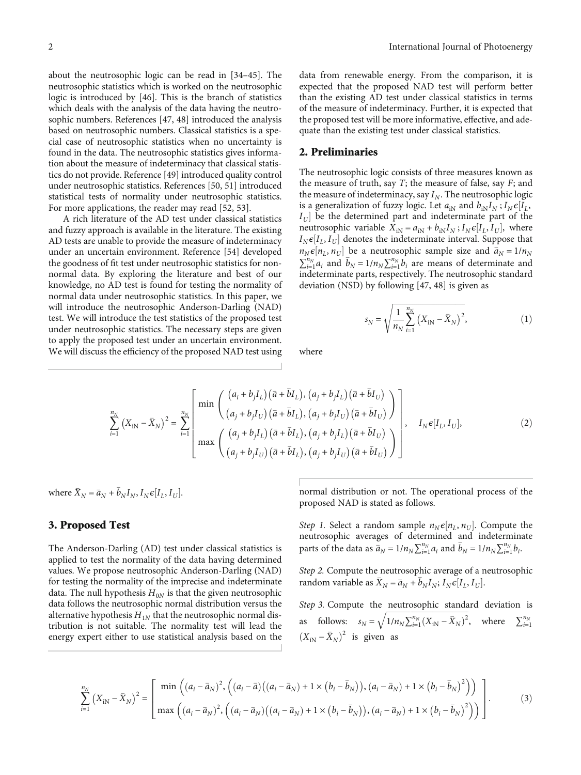about the neutrosophic logic can be read in [\[34](#page-4-0)–[45\]](#page-5-0). The neutrosophic statistics which is worked on the neutrosophic logic is introduced by [[46\]](#page-5-0). This is the branch of statistics which deals with the analysis of the data having the neutrosophic numbers. References [[47](#page-5-0), [48\]](#page-5-0) introduced the analysis based on neutrosophic numbers. Classical statistics is a special case of neutrosophic statistics when no uncertainty is found in the data. The neutrosophic statistics gives information about the measure of indeterminacy that classical statistics do not provide. Reference [\[49\]](#page-5-0) introduced quality control under neutrosophic statistics. References [[50](#page-5-0), [51\]](#page-5-0) introduced statistical tests of normality under neutrosophic statistics. For more applications, the reader may read [[52](#page-5-0), [53\]](#page-5-0).

A rich literature of the AD test under classical statistics and fuzzy approach is available in the literature. The existing AD tests are unable to provide the measure of indeterminacy under an uncertain environment. Reference [\[54\]](#page-5-0) developed the goodness of fit test under neutrosophic statistics for nonnormal data. By exploring the literature and best of our knowledge, no AD test is found for testing the normality of normal data under neutrosophic statistics. In this paper, we will introduce the neutrosophic Anderson-Darling (NAD) test. We will introduce the test statistics of the proposed test under neutrosophic statistics. The necessary steps are given to apply the proposed test under an uncertain environment. We will discuss the efficiency of the proposed NAD test using data from renewable energy. From the comparison, it is expected that the proposed NAD test will perform better than the existing AD test under classical statistics in terms of the measure of indeterminacy. Further, it is expected that the proposed test will be more informative, effective, and adequate than the existing test under classical statistics.

#### 2. Preliminaries

The neutrosophic logic consists of three measures known as the measure of truth, say *T*; the measure of false, say *F*; and the measure of indeterminacy, say  $I_N$ . The neutrosophic logic is a generalization of fuzzy logic. Let  $a_{iN}$  and  $b_{iN}I_N$ ;  $I_N \epsilon I_L$ ,  $I_U$  be the determined part and indeterminate part of the neutrosophic variable  $X_{iN} = a_{iN} + b_{iN}I_N$ ;  $I_N \epsilon[I_L, I_U]$ , where  $I_N \epsilon [I_L, I_U]$  denotes the indeterminate interval. Suppose that  $n_N \epsilon[n_L, n_U]$  be a neutrosophic sample size and  $\bar{a}_N = 1/n_N$  $\sum_{i=1}^{n_N} a_i$  and  $\bar{b}_N = 1/n_N \sum_{i=1}^{n_N} b_i$  are means of determinate and indeterminate parts, respectively. The neutrosophic standard deviation (NSD) by following [\[47](#page-5-0), [48\]](#page-5-0) is given as

$$
s_N = \sqrt{\frac{1}{n_N} \sum_{i=1}^{n_N} (X_{iN} - \bar{X}_N)^2},
$$
 (1)

where

$$
\sum_{i=1}^{n_N} (X_{iN} - \bar{X}_N)^2 = \sum_{i=1}^{n_N} \left[ \min \left( \frac{(a_i + b_j I_L)(\bar{a} + \bar{b}I_L), (a_j + b_j I_L)(\bar{a} + \bar{b}I_U)}{(a_j + b_j I_U)(\bar{a} + \bar{b}I_L), (a_j + b_j I_U)(\bar{a} + \bar{b}I_U)} \right) \right], \quad I_N \in [I_L, I_U],
$$
\n
$$
\max \left( \frac{(a_j + b_j I_L)(\bar{a} + \bar{b}I_L), (a_j + b_j I_L)(\bar{a} + \bar{b}I_U)}{(a_j + b_j I_U)(\bar{a} + \bar{b}I_L), (a_j + b_j I_U)(\bar{a} + \bar{b}I_U)} \right].
$$
\n(2)

where  $\bar{X}_N = \bar{a}_N + \bar{b}_N I_N$ ,  $I_N \epsilon [I_L, I_U]$ .

## 3. Proposed Test

The Anderson-Darling (AD) test under classical statistics is applied to test the normality of the data having determined values. We propose neutrosophic Anderson-Darling (NAD) for testing the normality of the imprecise and indeterminate data. The null hypothesis  $H_{0N}$  is that the given neutrosophic data follows the neutrosophic normal distribution versus the alternative hypothesis  $H_{1N}$  that the neutrosophic normal distribution is not suitable. The normality test will lead the energy expert either to use statistical analysis based on the

normal distribution or not. The operational process of the proposed NAD is stated as follows.

Step 1. Select a random sample  $n_N \epsilon [n_L, n_U]$ . Compute the neutrosophic averages of determined and indeterminate parts of the data as  $\overline{a}_N = 1/n_N \sum_{i=1}^{n_N} a_i$  and  $\overline{b}_N = 1/n_N \sum_{i=1}^{n_N} b_i$ .

Step 2. Compute the neutrosophic average of a neutrosophic random variable as  $\bar{X}_N = \bar{a}_N + \bar{b}_N I_N$ ;  $I_N \epsilon [I_L, I_U]$ .

Step 3. Compute the neutrosophic standard deviation is as follows:  $s_N = \sqrt{1/n_N \sum_{i=1}^{n_N} (X_{iN} - \bar{X}_N)^2}$ , where  $\sum_{i=1}^{n_N}$  $(X_{iN} - \bar{X}_N)^2$  is given as

$$
\sum_{i=1}^{n_N} (X_{iN} - \bar{X}_N)^2 = \begin{bmatrix} \min\left( (a_i - \bar{a}_N)^2, \left( (a_i - \bar{a})((a_i - \bar{a}_N) + 1 \times (b_i - \bar{b}_N)), (a_i - \bar{a}_N) + 1 \times (b_i - \bar{b}_N)^2 \right) \right) \\ \max\left( (a_i - \bar{a}_N)^2, \left( (a_i - \bar{a}_N)((a_i - \bar{a}_N) + 1 \times (b_i - \bar{b}_N)), (a_i - \bar{a}_N) + 1 \times (b_i - \bar{b}_N)^2 \right) \right) \end{bmatrix} .
$$
 (3)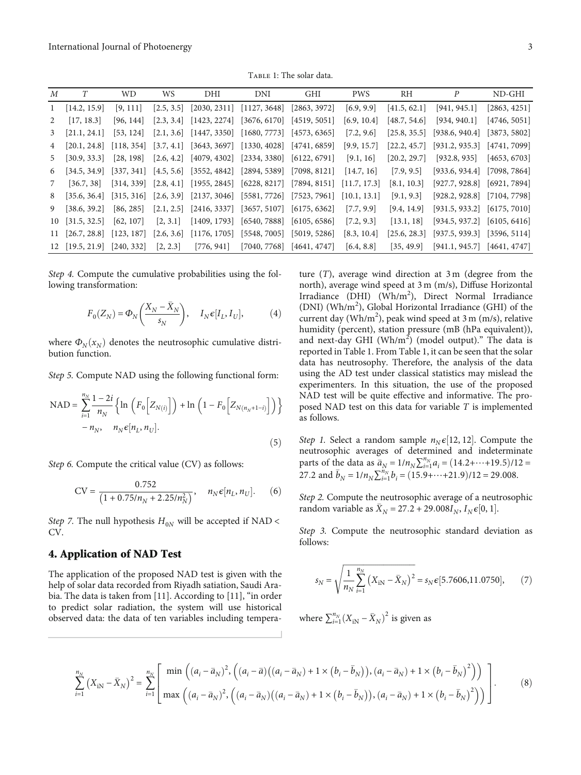TABLE 1: The solar data.

| М            |                                              | WD.       | WS.        | DHI        | DNI                                                                                                                                                                                                                | <b>GHI</b> | <b>PWS</b>  | RH           | P                                          | ND-GHI       |
|--------------|----------------------------------------------|-----------|------------|------------|--------------------------------------------------------------------------------------------------------------------------------------------------------------------------------------------------------------------|------------|-------------|--------------|--------------------------------------------|--------------|
| $\mathbf{1}$ | [14.2, 15.9]                                 | [9, 111]  | [2.5, 3.5] |            | $[2030, 2311]$ $[1127, 3648]$ $[2863, 3972]$                                                                                                                                                                       |            | [6.9, 9.9]  | [41.5, 62.1] | [941, 945.1]                               | [2863, 4251] |
| 2            | [17, 18.3]                                   | [96, 144] |            |            | $[2.3, 3.4]$ $[1423, 2274]$ $[3676, 6170]$ $[4519, 5051]$                                                                                                                                                          |            | [6.9, 10.4] | [48.7, 54.6] | [934, 940.1]                               | [4746, 5051] |
| 3            | [21.1, 24.1]                                 | [53, 124] |            |            | $[2.1, 3.6]$ $[1447, 3350]$ $[1680, 7773]$ $[4573, 6365]$                                                                                                                                                          |            | [7.2, 9.6]  |              | $[25.8, 35.5]$ [938.6, 940.4]              | [3873, 5802] |
| 4            | [20.1, 24.8]                                 |           |            |            | $\begin{bmatrix} 118, 354 \end{bmatrix}$ $\begin{bmatrix} 3.7, 4.1 \end{bmatrix}$ $\begin{bmatrix} 3643, 3697 \end{bmatrix}$ $\begin{bmatrix} 1330, 4028 \end{bmatrix}$ $\begin{bmatrix} 4741, 6859 \end{bmatrix}$ |            | [9.9, 15.7] |              | $[22.2, 45.7]$ [931.2, 935.3]              | [4741, 7099] |
| 5            | [30.9, 33.3]                                 | [28, 198] |            |            | $[2.6, 4.2]$ $[4079, 4302]$ $[2334, 3380]$ $[6122, 6791]$ $[9.1, 16]$                                                                                                                                              |            |             | [20.2, 29.7] | [932.8, 935]                               | [4653, 6703] |
| 6            | [34.5, 34.9]                                 |           |            |            | $[337, 341]$ $[4.5, 5.6]$ $[3552, 4842]$ $[2894, 5389]$ $[7098, 8121]$                                                                                                                                             |            | [14.7, 16]  | [7.9, 9.5]   | [933.6, 934.4]                             | [7098, 7864] |
| 7            | [36.7, 38]                                   |           |            |            | $[314, 339]$ $[2.8, 4.1]$ $[1955, 2845]$ $[6228, 8217]$ $[7894, 8151]$ $[11.7, 17.3]$                                                                                                                              |            |             | [8.1, 10.3]  | $[927.7, 928.8]$ $[6921, 7894]$            |              |
| 8            | [35.6, 36.4]                                 |           |            |            | $[315, 316]$ $[2.6, 3.9]$ $[2137, 3046]$ $[5581, 7726]$ $[7523, 7961]$ $[10.1, 13.1]$                                                                                                                              |            |             | [9.1, 9.3]   | $[928.2, 928.8]$ [7104, 7798]              |              |
| 9            | [38.6, 39.2]                                 | [86, 285] |            |            | $[2.1, 2.5]$ $[2416, 3337]$ $[3657, 5107]$ $[6175, 6362]$                                                                                                                                                          |            | [7.7, 9.9]  | [9.4, 14.9]  | $[931.5, 933.2]$ $[6175, 7010]$            |              |
| 10           | $\vert 31.5, 32.5 \vert$                     | [62, 107] | [2, 3.1]   |            | $[1409, 1793]$ $[6540, 7888]$ $[6105, 6586]$                                                                                                                                                                       |            | [7.2, 9.3]  | [13.1, 18]   | $[934.5, 937.2]$ [6105, 6416]              |              |
|              | $11$ [26.7, 28.8] [123, 187]                 |           |            |            | $[2.6, 3.6]$ $[1176, 1705]$ $[5548, 7005]$ $[5019, 5286]$                                                                                                                                                          |            | [8.3, 10.4] |              | $[25.6, 28.3]$ [937.5, 939.3] [3596, 5114] |              |
|              | $[12 \t[19.5, 21.9] \t[240, 332] \t[2, 2.3]$ |           |            | [776, 941] | $[7040, 7768]$ $[4641, 4747]$                                                                                                                                                                                      |            | [6.4, 8.8]  | [35, 49.9]   | $[941.1, 945.7]$ $[4641, 4747]$            |              |

Step 4. Compute the cumulative probabilities using the following transformation:

$$
F_0(Z_N) = \Phi_N\left(\frac{X_N - \bar{X}_N}{s_N}\right), \quad I_N \epsilon[I_L, I_U], \tag{4}
$$

where  $\Phi_N(x_N)$  denotes the neutrosophic cumulative distribution function.

Step 5. Compute NAD using the following functional form:

NAD = 
$$
\sum_{i=1}^{n_N} \frac{1 - 2i}{n_N} \left\{ \ln \left( F_0 \left[ Z_{N(i)} \right] \right) + \ln \left( 1 - F_0 \left[ Z_{N(n_N + 1 - i)} \right] \right) \right\} - n_N, \quad n_N \in [n_L, n_U].
$$
 (5)

Step 6. Compute the critical value (CV) as follows:

$$
CV = \frac{0.752}{\left(1 + 0.75/n_N + 2.25/n_N^2\right)}, \quad n_N \epsilon[n_L, n_U].
$$
 (6)

Step 7. The null hypothesis  $H_{0N}$  will be accepted if NAD < CV.

#### 4. Application of NAD Test

The application of the proposed NAD test is given with the help of solar data recorded from Riyadh satiation, Saudi Arabia. The data is taken from [\[11\]](#page-4-0). According to [\[11](#page-4-0)], "in order to predict solar radiation, the system will use historical observed data: the data of ten variables including temperature (*T*), average wind direction at 3 m (degree from the north), average wind speed at 3 m (m/s), Diffuse Horizontal Irradiance (DHI) (Wh/m<sup>2</sup>), Direct Normal Irradiance (DNI) (Wh/m<sup>2</sup>), Global Horizontal Irradiance (GHI) of the current day ( $Wh/m^2$ ), peak wind speed at 3 m (m/s), relative humidity (percent), station pressure (mB (hPa equivalent)), and next-day GHI (Wh/m<sup>2</sup>) (model output)." The data is reported in Table 1. From Table 1, it can be seen that the solar data has neutrosophy. Therefore, the analysis of the data using the AD test under classical statistics may mislead the experimenters. In this situation, the use of the proposed NAD test will be quite effective and informative. The proposed NAD test on this data for variable *T* is implemented as follows.

Step 1. Select a random sample  $n_N \epsilon$ [12, 12]. Compute the neutrosophic averages of determined and indeterminate parts of the data as  $\bar{a}_N = 1/n_N \sum_{i=1}^{n_N} a_i = (14.2 + \dots + 19.5)/12 =$ 27.2 and  $\bar{b}_N = 1/n_N \sum_{i=1}^{n_N} b_i = (15.9 + \dots + 21.9)/12 = 29.008$ .

Step 2. Compute the neutrosophic average of a neutrosophic random variable as  $\bar{X}_N = 27.2 + 29.008I_N$ ,  $I_N \epsilon [0, 1]$ .

Step 3. Compute the neutrosophic standard deviation as follows:

$$
s_N = \sqrt{\frac{1}{n_N} \sum_{i=1}^{n_N} (X_{iN} - \bar{X}_N)^2} = s_N \epsilon [5.7606, 11.0750],
$$
 (7)

where  $\sum_{i=1}^{n_N} (X_{iN} - \bar{X}_N)^2$  is given as

$$
\sum_{i=1}^{n_N} (X_{iN} - \bar{X}_N)^2 = \sum_{i=1}^{n_N} \left[ \frac{\min\left( (a_i - \bar{a}_N)^2, \left( (a_i - \bar{a})( (a_i - \bar{a}_N) + 1 \times (b_i - \bar{b}_N)), (a_i - \bar{a}_N) + 1 \times (b_i - \bar{b}_N)^2 \right) \right)}{\max\left( (a_i - \bar{a}_N)^2, \left( (a_i - \bar{a}_N)((a_i - \bar{a}_N) + 1 \times (b_i - \bar{b}_N)), (a_i - \bar{a}_N) + 1 \times (b_i - \bar{b}_N)^2 \right) \right) \right].
$$
 (8)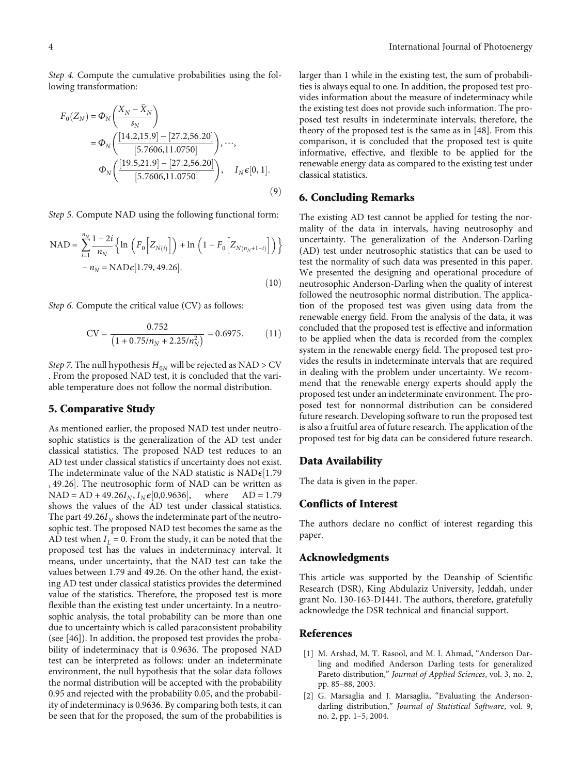<span id="page-3-0"></span>Step 4. Compute the cumulative probabilities using the following transformation:

$$
F_0(Z_N) = \Phi_N \left( \frac{X_N - \bar{X}_N}{s_N} \right)
$$
  
=  $\Phi_N \left( \frac{[14.2, 15.9] - [27.2, 56.20]}{[5.7606, 11.0750]} \right), \dots,$   
 $\Phi_N \left( \frac{[19.5, 21.9] - [27.2, 56.20]}{[5.7606, 11.0750]} \right), \quad I_N \epsilon [0, 1].$  (9)

Step 5. Compute NAD using the following functional form:

NAD = 
$$
\sum_{i=1}^{n_N} \frac{1 - 2i}{n_N} \left\{ \ln \left( F_0 \left[ Z_{N(i)} \right] \right) + \ln \left( 1 - F_0 \left[ Z_{N(n_N + 1 - i)} \right] \right) \right\} - n_N = \text{NAD} \epsilon [1.79, 49.26].
$$
 (10)

Step 6. Compute the critical value (CV) as follows:

$$
CV = \frac{0.752}{\left(1 + 0.75/n_N + 2.25/n_N^2\right)} = 0.6975. \tag{11}
$$

Step 7. The null hypothesis  $H_{0N}$  will be rejected as  $NAD > CV$ . From the proposed NAD test, it is concluded that the variable temperature does not follow the normal distribution.

#### 5. Comparative Study

As mentioned earlier, the proposed NAD test under neutrosophic statistics is the generalization of the AD test under classical statistics. The proposed NAD test reduces to an AD test under classical statistics if uncertainty does not exist. The indeterminate value of the NAD statistic is  $NAD \epsilon$ <sup>[1.79]</sup> , 49.26]. The neutrosophic form of NAD can be written as  $NAD = AD + 49.26I_N$ ,  $I_N \epsilon [0, 0.9636]$ , where  $AD = 1.79$ shows the values of the AD test under classical statistics. The part  $49.26I_N$  shows the indeterminate part of the neutrosophic test. The proposed NAD test becomes the same as the AD test when  $I_L = 0$ . From the study, it can be noted that the proposed test has the values in indeterminacy interval. It means, under uncertainty, that the NAD test can take the values between 1.79 and 49.26. On the other hand, the existing AD test under classical statistics provides the determined value of the statistics. Therefore, the proposed test is more flexible than the existing test under uncertainty. In a neutrosophic analysis, the total probability can be more than one due to uncertainty which is called paraconsistent probability (see [\[46\]](#page-5-0)). In addition, the proposed test provides the probability of indeterminacy that is 0.9636. The proposed NAD test can be interpreted as follows: under an indeterminate environment, the null hypothesis that the solar data follows the normal distribution will be accepted with the probability 0.95 and rejected with the probability 0.05, and the probability of indeterminacy is 0.9636. By comparing both tests, it can be seen that for the proposed, the sum of the probabilities is

larger than 1 while in the existing test, the sum of probabilities is always equal to one. In addition, the proposed test provides information about the measure of indeterminacy while the existing test does not provide such information. The proposed test results in indeterminate intervals; therefore, the theory of the proposed test is the same as in [[48](#page-5-0)]. From this comparison, it is concluded that the proposed test is quite informative, effective, and flexible to be applied for the renewable energy data as compared to the existing test under classical statistics.

#### 6. Concluding Remarks

The existing AD test cannot be applied for testing the normality of the data in intervals, having neutrosophy and uncertainty. The generalization of the Anderson-Darling (AD) test under neutrosophic statistics that can be used to test the normality of such data was presented in this paper. We presented the designing and operational procedure of neutrosophic Anderson-Darling when the quality of interest followed the neutrosophic normal distribution. The application of the proposed test was given using data from the renewable energy field. From the analysis of the data, it was concluded that the proposed test is effective and information to be applied when the data is recorded from the complex system in the renewable energy field. The proposed test provides the results in indeterminate intervals that are required in dealing with the problem under uncertainty. We recommend that the renewable energy experts should apply the proposed test under an indeterminate environment. The proposed test for nonnormal distribution can be considered future research. Developing software to run the proposed test is also a fruitful area of future research. The application of the proposed test for big data can be considered future research.

#### Data Availability

The data is given in the paper.

#### Conflicts of Interest

The authors declare no conflict of interest regarding this paper.

#### Acknowledgments

This article was supported by the Deanship of Scientific Research (DSR), King Abdulaziz University, Jeddah, under grant No. 130-163-D1441. The authors, therefore, gratefully acknowledge the DSR technical and financial support.

#### References

- [1] M. Arshad, M. T. Rasool, and M. I. Ahmad, "Anderson Darling and modified Anderson Darling tests for generalized Pareto distribution," Journal of Applied Sciences, vol. 3, no. 2, pp. 85–88, 2003.
- [2] G. Marsaglia and J. Marsaglia, "Evaluating the Andersondarling distribution," Journal of Statistical Software, vol. 9, no. 2, pp. 1–5, 2004.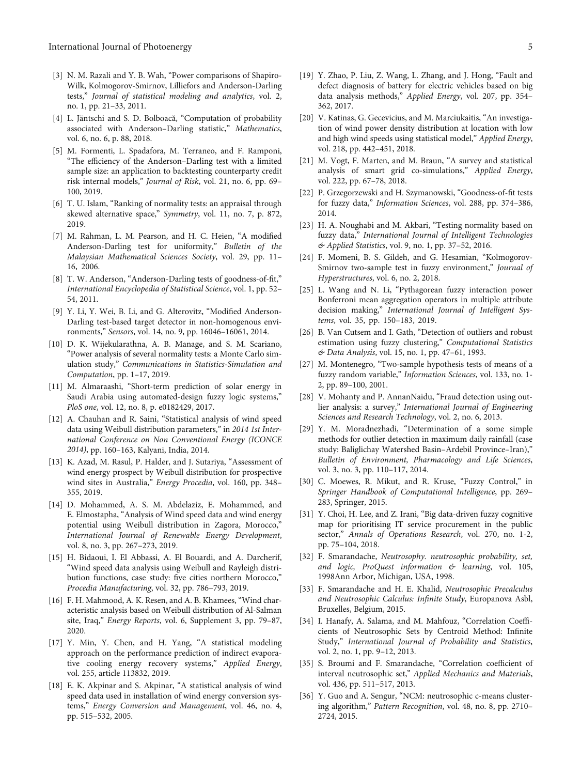- <span id="page-4-0"></span>[3] N. M. Razali and Y. B. Wah, "Power comparisons of Shapiro-Wilk, Kolmogorov-Smirnov, Lilliefors and Anderson-Darling tests," Journal of statistical modeling and analytics, vol. 2, no. 1, pp. 21–33, 2011.
- [4] L. Jäntschi and S. D. Bolboacă, "Computation of probability associated with Anderson-Darling statistic," Mathematics, vol. 6, no. 6, p. 88, 2018.
- [5] M. Formenti, L. Spadafora, M. Terraneo, and F. Ramponi, "The efficiency of the Anderson–Darling test with a limited sample size: an application to backtesting counterparty credit risk internal models," Journal of Risk, vol. 21, no. 6, pp. 69– 100, 2019.
- [6] T. U. Islam, "Ranking of normality tests: an appraisal through skewed alternative space," Symmetry, vol. 11, no. 7, p. 872, 2019.
- [7] M. Rahman, L. M. Pearson, and H. C. Heien, "A modified Anderson-Darling test for uniformity," Bulletin of the Malaysian Mathematical Sciences Society, vol. 29, pp. 11– 16, 2006.
- [8] T. W. Anderson, "Anderson-Darling tests of goodness-of-fit," International Encyclopedia of Statistical Science, vol. 1, pp. 52– 54, 2011.
- [9] Y. Li, Y. Wei, B. Li, and G. Alterovitz, "Modified Anderson-Darling test-based target detector in non-homogenous environments," Sensors, vol. 14, no. 9, pp. 16046–16061, 2014.
- [10] D. K. Wijekularathna, A. B. Manage, and S. M. Scariano, "Power analysis of several normality tests: a Monte Carlo simulation study," Communications in Statistics-Simulation and Computation, pp. 1–17, 2019.
- [11] M. Almaraashi, "Short-term prediction of solar energy in Saudi Arabia using automated-design fuzzy logic systems," PloS one, vol. 12, no. 8, p. e0182429, 2017.
- [12] A. Chauhan and R. Saini, "Statistical analysis of wind speed data using Weibull distribution parameters," in 2014 1st International Conference on Non Conventional Energy (ICONCE 2014), pp. 160–163, Kalyani, India, 2014.
- [13] K. Azad, M. Rasul, P. Halder, and J. Sutariya, "Assessment of wind energy prospect by Weibull distribution for prospective wind sites in Australia," Energy Procedia, vol. 160, pp. 348– 355, 2019.
- [14] D. Mohammed, A. S. M. Abdelaziz, E. Mohammed, and E. Elmostapha, "Analysis of Wind speed data and wind energy potential using Weibull distribution in Zagora, Morocco," International Journal of Renewable Energy Development, vol. 8, no. 3, pp. 267–273, 2019.
- [15] H. Bidaoui, I. El Abbassi, A. El Bouardi, and A. Darcherif, "Wind speed data analysis using Weibull and Rayleigh distribution functions, case study: five cities northern Morocco," Procedia Manufacturing, vol. 32, pp. 786–793, 2019.
- [16] F. H. Mahmood, A. K. Resen, and A. B. Khamees, "Wind characteristic analysis based on Weibull distribution of Al-Salman site, Iraq," Energy Reports, vol. 6, Supplement 3, pp. 79–87, 2020.
- [17] Y. Min, Y. Chen, and H. Yang, "A statistical modeling approach on the performance prediction of indirect evaporative cooling energy recovery systems," Applied Energy, vol. 255, article 113832, 2019.
- [18] E. K. Akpinar and S. Akpinar, "A statistical analysis of wind speed data used in installation of wind energy conversion systems," Energy Conversion and Management, vol. 46, no. 4, pp. 515–532, 2005.
- [19] Y. Zhao, P. Liu, Z. Wang, L. Zhang, and J. Hong, "Fault and defect diagnosis of battery for electric vehicles based on big data analysis methods," Applied Energy, vol. 207, pp. 354– 362, 2017.
- [20] V. Katinas, G. Gecevicius, and M. Marciukaitis, "An investigation of wind power density distribution at location with low and high wind speeds using statistical model," Applied Energy, vol. 218, pp. 442–451, 2018.
- [21] M. Vogt, F. Marten, and M. Braun, "A survey and statistical analysis of smart grid co-simulations," Applied Energy, vol. 222, pp. 67–78, 2018.
- [22] P. Grzegorzewski and H. Szymanowski, "Goodness-of-fit tests for fuzzy data," Information Sciences, vol. 288, pp. 374–386, 2014.
- [23] H. A. Noughabi and M. Akbari, "Testing normality based on fuzzy data," International Journal of Intelligent Technologies & Applied Statistics, vol. 9, no. 1, pp. 37–52, 2016.
- [24] F. Momeni, B. S. Gildeh, and G. Hesamian, "Kolmogorov-Smirnov two-sample test in fuzzy environment," Journal of Hyperstructures, vol. 6, no. 2, 2018.
- [25] L. Wang and N. Li, "Pythagorean fuzzy interaction power Bonferroni mean aggregation operators in multiple attribute decision making," International Journal of Intelligent Systems, vol. 35, pp. 150–183, 2019.
- [26] B. Van Cutsem and I. Gath, "Detection of outliers and robust estimation using fuzzy clustering," Computational Statistics & Data Analysis, vol. 15, no. 1, pp. 47–61, 1993.
- [27] M. Montenegro, "Two-sample hypothesis tests of means of a fuzzy random variable," Information Sciences, vol. 133, no. 1- 2, pp. 89–100, 2001.
- [28] V. Mohanty and P. AnnanNaidu, "Fraud detection using outlier analysis: a survey," International Journal of Engineering Sciences and Research Technology, vol. 2, no. 6, 2013.
- [29] Y. M. Moradnezhadi, "Determination of a some simple methods for outlier detection in maximum daily rainfall (case study: Baliglichay Watershed Basin–Ardebil Province–Iran)," Bulletin of Environment, Pharmacology and Life Sciences, vol. 3, no. 3, pp. 110–117, 2014.
- [30] C. Moewes, R. Mikut, and R. Kruse, "Fuzzy Control," in Springer Handbook of Computational Intelligence, pp. 269– 283, Springer, 2015.
- [31] Y. Choi, H. Lee, and Z. Irani, "Big data-driven fuzzy cognitive map for prioritising IT service procurement in the public sector," Annals of Operations Research, vol. 270, no. 1-2, pp. 75–104, 2018.
- [32] F. Smarandache, Neutrosophy. neutrosophic probability, set, and logic, ProQuest information & learning, vol. 105, 1998Ann Arbor, Michigan, USA, 1998.
- [33] F. Smarandache and H. E. Khalid, Neutrosophic Precalculus and Neutrosophic Calculus: Infinite Study, Europanova Asbl, Bruxelles, Belgium, 2015.
- [34] I. Hanafy, A. Salama, and M. Mahfouz, "Correlation Coefficients of Neutrosophic Sets by Centroid Method: Infinite Study," International Journal of Probability and Statistics, vol. 2, no. 1, pp. 9–12, 2013.
- [35] S. Broumi and F. Smarandache, "Correlation coefficient of interval neutrosophic set," Applied Mechanics and Materials, vol. 436, pp. 511–517, 2013.
- [36] Y. Guo and A. Sengur, "NCM: neutrosophic c-means clustering algorithm," Pattern Recognition, vol. 48, no. 8, pp. 2710– 2724, 2015.